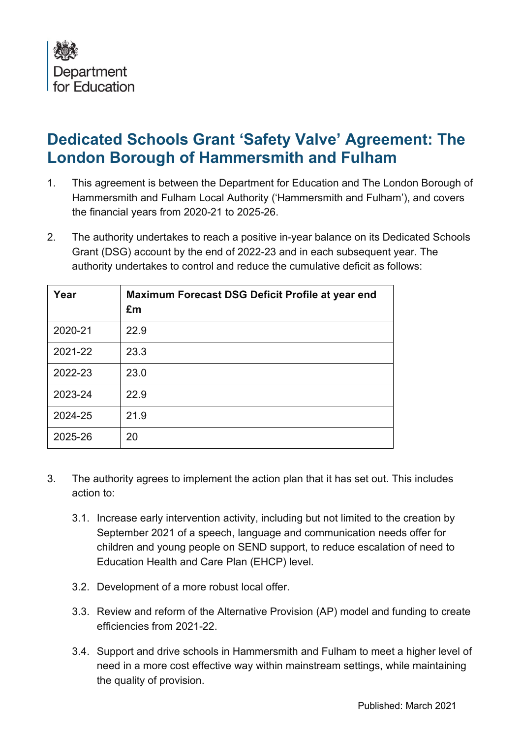

## **Dedicated Schools Grant 'Safety Valve' Agreement: The London Borough of Hammersmith and Fulham**

- 1. This agreement is between the Department for Education and The London Borough of Hammersmith and Fulham Local Authority ('Hammersmith and Fulham'), and covers the financial years from 2020-21 to 2025-26.
- 2. The authority undertakes to reach a positive in-year balance on its Dedicated Schools Grant (DSG) account by the end of 2022-23 and in each subsequent year. The authority undertakes to control and reduce the cumulative deficit as follows:

| Year    | Maximum Forecast DSG Deficit Profile at year end<br>£m |
|---------|--------------------------------------------------------|
| 2020-21 | 22.9                                                   |
| 2021-22 | 23.3                                                   |
| 2022-23 | 23.0                                                   |
| 2023-24 | 22.9                                                   |
| 2024-25 | 21.9                                                   |
| 2025-26 | 20                                                     |

- 3. The authority agrees to implement the action plan that it has set out. This includes action to:
	- 3.1. Increase early intervention activity, including but not limited to the creation by September 2021 of a speech, language and communication needs offer for children and young people on SEND support, to reduce escalation of need to Education Health and Care Plan (EHCP) level.
	- 3.2. Development of a more robust local offer.
	- 3.3. Review and reform of the Alternative Provision (AP) model and funding to create efficiencies from 2021-22.
	- 3.4. Support and drive schools in Hammersmith and Fulham to meet a higher level of need in a more cost effective way within mainstream settings, while maintaining the quality of provision.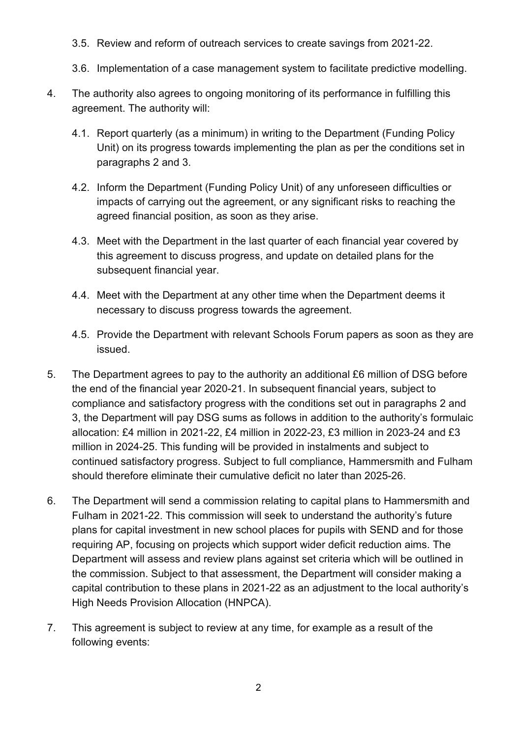- 3.5. Review and reform of outreach services to create savings from 2021-22.
- 3.6. Implementation of a case management system to facilitate predictive modelling.
- 4. The authority also agrees to ongoing monitoring of its performance in fulfilling this agreement. The authority will:
	- 4.1. Report quarterly (as a minimum) in writing to the Department (Funding Policy Unit) on its progress towards implementing the plan as per the conditions set in paragraphs 2 and 3.
	- 4.2. Inform the Department (Funding Policy Unit) of any unforeseen difficulties or impacts of carrying out the agreement, or any significant risks to reaching the agreed financial position, as soon as they arise.
	- 4.3. Meet with the Department in the last quarter of each financial year covered by this agreement to discuss progress, and update on detailed plans for the subsequent financial year.
	- 4.4. Meet with the Department at any other time when the Department deems it necessary to discuss progress towards the agreement.
	- 4.5. Provide the Department with relevant Schools Forum papers as soon as they are issued.
- 5. The Department agrees to pay to the authority an additional £6 million of DSG before the end of the financial year 2020-21. In subsequent financial years, subject to compliance and satisfactory progress with the conditions set out in paragraphs 2 and 3, the Department will pay DSG sums as follows in addition to the authority's formulaic allocation: £4 million in 2021-22, £4 million in 2022-23, £3 million in 2023-24 and £3 million in 2024-25. This funding will be provided in instalments and subject to continued satisfactory progress. Subject to full compliance, Hammersmith and Fulham should therefore eliminate their cumulative deficit no later than 2025-26.
- 6. The Department will send a commission relating to capital plans to Hammersmith and Fulham in 2021-22. This commission will seek to understand the authority's future plans for capital investment in new school places for pupils with SEND and for those requiring AP, focusing on projects which support wider deficit reduction aims. The Department will assess and review plans against set criteria which will be outlined in the commission. Subject to that assessment, the Department will consider making a capital contribution to these plans in 2021-22 as an adjustment to the local authority's High Needs Provision Allocation (HNPCA).
- 7. This agreement is subject to review at any time, for example as a result of the following events: